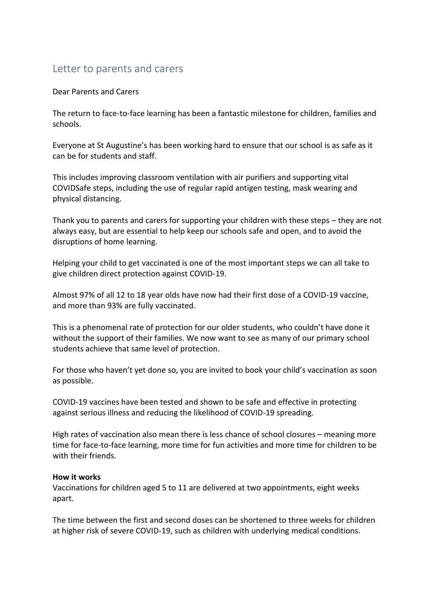# Letter to parents and carers

Dear Parents and Carers

The return to face-to-face learning has been a fantastic milestone for children, families and schools.

Everyone at St Augustine's has been working hard to ensure that our school is as safe as it can be for students and staff.

This includes improving classroom ventilation with air purifiers and supporting vital COVIDSafe steps, including the use of regular rapid antigen testing, mask wearing and physical distancing.

Thank you to parents and carers for supporting your children with these steps – they are not always easy, but are essential to help keep our schools safe and open, and to avoid the disruptions of home learning.

Helping your child to get vaccinated is one of the most important steps we can all take to give children direct protection against COVID-19.

Almost 97% of all 12 to 18 year olds have now had their first dose of a COVID-19 vaccine, and more than 93% are fully vaccinated.

This is a phenomenal rate of protection for our older students, who couldn't have done it without the support of their families. We now want to see as many of our primary school students achieve that same level of protection.

For those who haven't yet done so, you are invited to book your child's vaccination as soon as possible.

COVID-19 vaccines have been tested and shown to be safe and effective in protecting against serious illness and reducing the likelihood of COVID-19 spreading.

High rates of vaccination also mean there is less chance of school closures – meaning more time for face-to-face learning, more time for fun activities and more time for children to be with their friends.

#### **How it works**

Vaccinations for children aged 5 to 11 are delivered at two appointments, eight weeks apart.

The time between the first and second doses can be shortened to three weeks for children at higher risk of severe COVID-19, such as children with underlying medical conditions.